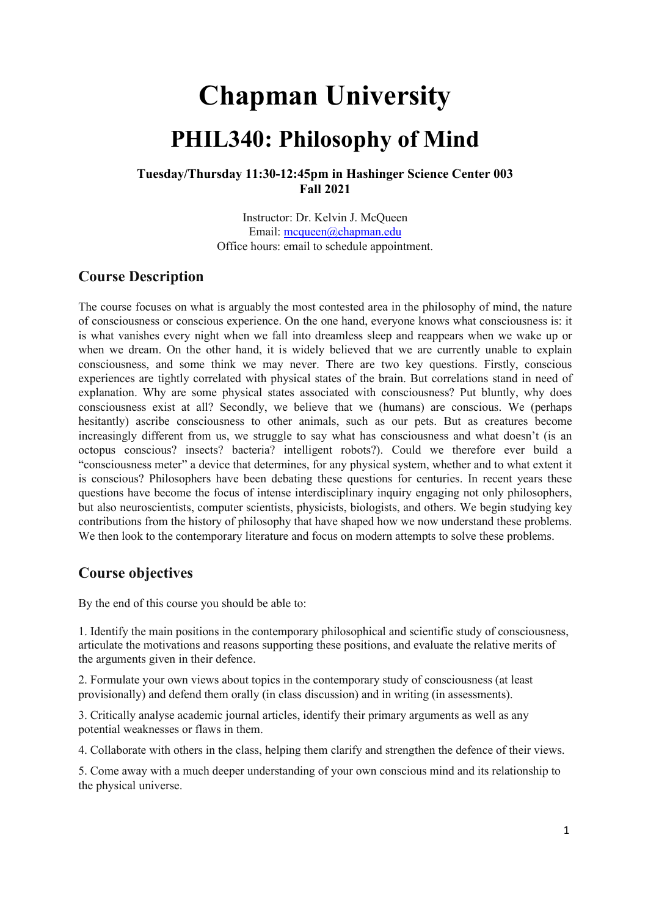# **Chapman University PHIL340: Philosophy of Mind**

### **Tuesday/Thursday 11:30-12:45pm in Hashinger Science Center 003 Fall 2021**

Instructor: Dr. Kelvin J. McQueen Email: mcqueen@chapman.edu Office hours: email to schedule appointment.

### **Course Description**

The course focuses on what is arguably the most contested area in the philosophy of mind, the nature of consciousness or conscious experience. On the one hand, everyone knows what consciousness is: it is what vanishes every night when we fall into dreamless sleep and reappears when we wake up or when we dream. On the other hand, it is widely believed that we are currently unable to explain consciousness, and some think we may never. There are two key questions. Firstly, conscious experiences are tightly correlated with physical states of the brain. But correlations stand in need of explanation. Why are some physical states associated with consciousness? Put bluntly, why does consciousness exist at all? Secondly, we believe that we (humans) are conscious. We (perhaps hesitantly) ascribe consciousness to other animals, such as our pets. But as creatures become increasingly different from us, we struggle to say what has consciousness and what doesn't (is an octopus conscious? insects? bacteria? intelligent robots?). Could we therefore ever build a "consciousness meter" a device that determines, for any physical system, whether and to what extent it is conscious? Philosophers have been debating these questions for centuries. In recent years these questions have become the focus of intense interdisciplinary inquiry engaging not only philosophers, but also neuroscientists, computer scientists, physicists, biologists, and others. We begin studying key contributions from the history of philosophy that have shaped how we now understand these problems. We then look to the contemporary literature and focus on modern attempts to solve these problems.

# **Course objectives**

By the end of this course you should be able to:

1. Identify the main positions in the contemporary philosophical and scientific study of consciousness, articulate the motivations and reasons supporting these positions, and evaluate the relative merits of the arguments given in their defence.

2. Formulate your own views about topics in the contemporary study of consciousness (at least provisionally) and defend them orally (in class discussion) and in writing (in assessments).

3. Critically analyse academic journal articles, identify their primary arguments as well as any potential weaknesses or flaws in them.

4. Collaborate with others in the class, helping them clarify and strengthen the defence of their views.

5. Come away with a much deeper understanding of your own conscious mind and its relationship to the physical universe.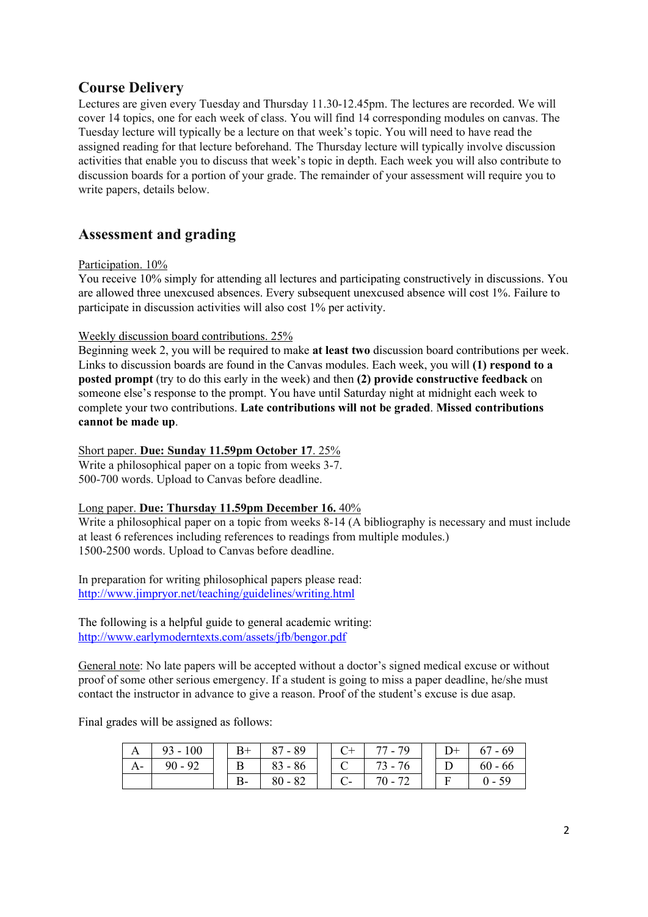## **Course Delivery**

Lectures are given every Tuesday and Thursday 11.30-12.45pm. The lectures are recorded. We will cover 14 topics, one for each week of class. You will find 14 corresponding modules on canvas. The Tuesday lecture will typically be a lecture on that week's topic. You will need to have read the assigned reading for that lecture beforehand. The Thursday lecture will typically involve discussion activities that enable you to discuss that week's topic in depth. Each week you will also contribute to discussion boards for a portion of your grade. The remainder of your assessment will require you to write papers, details below.

# **Assessment and grading**

### Participation.  $10\%$

You receive 10% simply for attending all lectures and participating constructively in discussions. You are allowed three unexcused absences. Every subsequent unexcused absence will cost 1%. Failure to participate in discussion activities will also cost 1% per activity.

### Weekly discussion board contributions. 25%

Beginning week 2, you will be required to make **at least two** discussion board contributions per week. Links to discussion boards are found in the Canvas modules. Each week, you will **(1) respond to a posted prompt** (try to do this early in the week) and then **(2) provide constructive feedback** on someone else's response to the prompt. You have until Saturday night at midnight each week to complete your two contributions. **Late contributions will not be graded**. **Missed contributions cannot be made up**.

### Short paper. **Due: Sunday 11.59pm October 17**. 25%

Write a philosophical paper on a topic from weeks 3-7. 500-700 words. Upload to Canvas before deadline.

### Long paper. **Due: Thursday 11.59pm December 16.** 40%

Write a philosophical paper on a topic from weeks  $8-14$  (A bibliography is necessary and must include at least 6 references including references to readings from multiple modules.) 1500-2500 words. Upload to Canvas before deadline.

In preparation for writing philosophical papers please read: <http://www.jimpryor.net/teaching/guidelines/writing.html>

The following is a helpful guide to general academic writing: <http://www.earlymoderntexts.com/assets/jfb/bengor.pdf>

General note: No late papers will be accepted without a doctor's signed medical excuse or without proof of some other serious emergency. If a student is going to miss a paper deadline, he/she must contact the instructor in advance to give a reason. Proof of the student's excuse is due asap.

Final grades will be assigned as follows:

|    | $93 - 100$ | $B+$ | $87 - 89$ |  | 77 - 79 | $D+$ | $67 - 69$ |
|----|------------|------|-----------|--|---------|------|-----------|
| А- | $90 - 92$  | B    | $83 - 86$ |  | 73 - 76 |      | $60 - 66$ |
|    |            | D-   | $80 - 82$ |  | 70 - 72 |      | $0 - 59$  |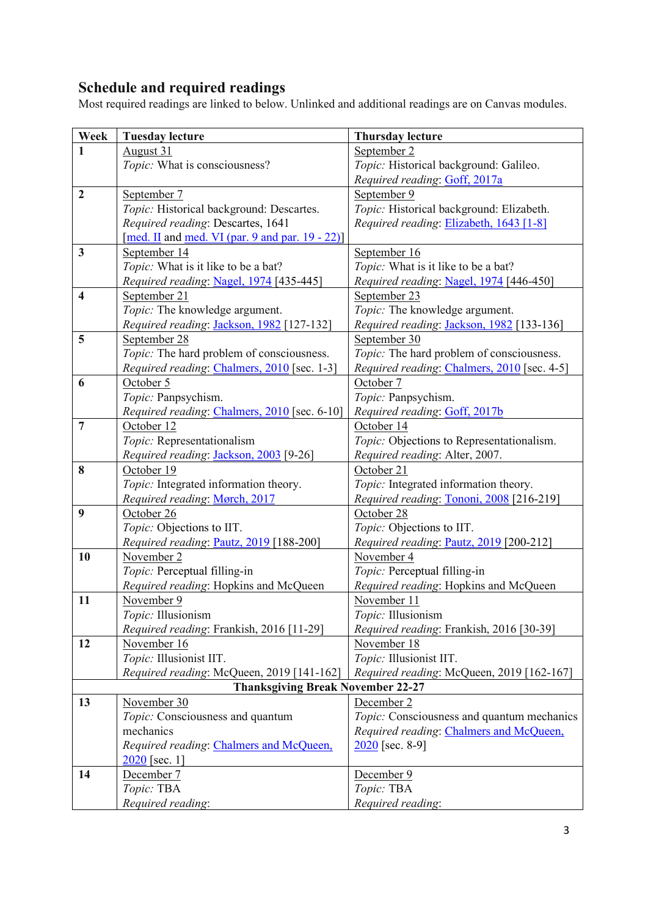# **Schedule and required readings**

Most required readings are linked to below. Unlinked and additional readings are on Canvas modules.

| Week                    | <b>Tuesday lecture</b>                             | <b>Thursday lecture</b>                     |  |  |  |  |  |  |
|-------------------------|----------------------------------------------------|---------------------------------------------|--|--|--|--|--|--|
| 1                       | August 31                                          | September 2                                 |  |  |  |  |  |  |
|                         | Topic: What is consciousness?                      | Topic: Historical background: Galileo.      |  |  |  |  |  |  |
|                         |                                                    | Required reading: Goff, 2017a               |  |  |  |  |  |  |
| $\overline{2}$          | September 7                                        | September 9                                 |  |  |  |  |  |  |
|                         | Topic: Historical background: Descartes.           | Topic: Historical background: Elizabeth.    |  |  |  |  |  |  |
|                         | Required reading: Descartes, 1641                  | Required reading: Elizabeth, 1643 [1-8]     |  |  |  |  |  |  |
|                         | [med. II and med. VI (par. 9 and par. $19 - 22$ )] |                                             |  |  |  |  |  |  |
| 3                       | September 14                                       | September 16                                |  |  |  |  |  |  |
|                         | Topic: What is it like to be a bat?                | Topic: What is it like to be a bat?         |  |  |  |  |  |  |
|                         | Required reading: Nagel, 1974 [435-445]            | Required reading: Nagel, 1974 [446-450]     |  |  |  |  |  |  |
| $\overline{\mathbf{4}}$ | September 21                                       | September 23                                |  |  |  |  |  |  |
|                         | Topic: The knowledge argument.                     | Topic: The knowledge argument.              |  |  |  |  |  |  |
|                         | Required reading: Jackson, 1982 [127-132]          | Required reading: Jackson, 1982 [133-136]   |  |  |  |  |  |  |
| 5                       | September 28                                       | September 30                                |  |  |  |  |  |  |
|                         | Topic: The hard problem of consciousness.          | Topic: The hard problem of consciousness.   |  |  |  |  |  |  |
|                         | Required reading: Chalmers, 2010 [sec. 1-3]        | Required reading: Chalmers, 2010 [sec. 4-5] |  |  |  |  |  |  |
| 6                       | October 5                                          | October 7                                   |  |  |  |  |  |  |
|                         | Topic: Panpsychism.                                | Topic: Panpsychism.                         |  |  |  |  |  |  |
|                         | Required reading: Chalmers, 2010 [sec. 6-10]       | Required reading: Goff, 2017b               |  |  |  |  |  |  |
| $\overline{7}$          | October 12                                         | October 14                                  |  |  |  |  |  |  |
|                         | Topic: Representationalism                         | Topic: Objections to Representationalism.   |  |  |  |  |  |  |
|                         | Required reading: Jackson, 2003 [9-26]             | Required reading: Alter, 2007.              |  |  |  |  |  |  |
| 8                       | October 19                                         | October 21                                  |  |  |  |  |  |  |
|                         | Topic: Integrated information theory.              | Topic: Integrated information theory.       |  |  |  |  |  |  |
|                         | Required reading: Mørch, 2017                      | Required reading: Tononi, 2008 [216-219]    |  |  |  |  |  |  |
| 9                       | October 26                                         | October 28                                  |  |  |  |  |  |  |
|                         | Topic: Objections to IIT.                          | Topic: Objections to IIT.                   |  |  |  |  |  |  |
|                         | Required reading: Pautz, 2019 [188-200]            | Required reading: Pautz, 2019 [200-212]     |  |  |  |  |  |  |
| 10                      | November 2                                         | November 4                                  |  |  |  |  |  |  |
|                         | Topic: Perceptual filling-in                       | Topic: Perceptual filling-in                |  |  |  |  |  |  |
|                         | Required reading: Hopkins and McQueen              | Required reading: Hopkins and McQueen       |  |  |  |  |  |  |
| 11                      | November 9                                         | November 11                                 |  |  |  |  |  |  |
|                         | Topic: Illusionism                                 | Topic: Illusionism                          |  |  |  |  |  |  |
|                         | Required reading: Frankish, 2016 [11-29]           | Required reading: Frankish, 2016 [30-39]    |  |  |  |  |  |  |
| 12                      | November 16                                        | November 18                                 |  |  |  |  |  |  |
|                         | Topic: Illusionist IIT.                            | Topic: Illusionist IIT.                     |  |  |  |  |  |  |
|                         | Required reading: McQueen, 2019 [141-162]          | Required reading: McQueen, 2019 [162-167]   |  |  |  |  |  |  |
|                         | <b>Thanksgiving Break November 22-27</b>           |                                             |  |  |  |  |  |  |
| 13                      | November 30                                        | December 2                                  |  |  |  |  |  |  |
|                         | Topic: Consciousness and quantum                   | Topic: Consciousness and quantum mechanics  |  |  |  |  |  |  |
|                         | mechanics                                          | Required reading: Chalmers and McQueen,     |  |  |  |  |  |  |
|                         | Required reading: Chalmers and McQueen,            | $2020$ [sec. 8-9]                           |  |  |  |  |  |  |
|                         | $2020$ [sec. 1]                                    |                                             |  |  |  |  |  |  |
| 14                      | December 7                                         | December 9                                  |  |  |  |  |  |  |
|                         | Topic: TBA                                         | Topic: TBA                                  |  |  |  |  |  |  |
|                         | Required reading:                                  | Required reading:                           |  |  |  |  |  |  |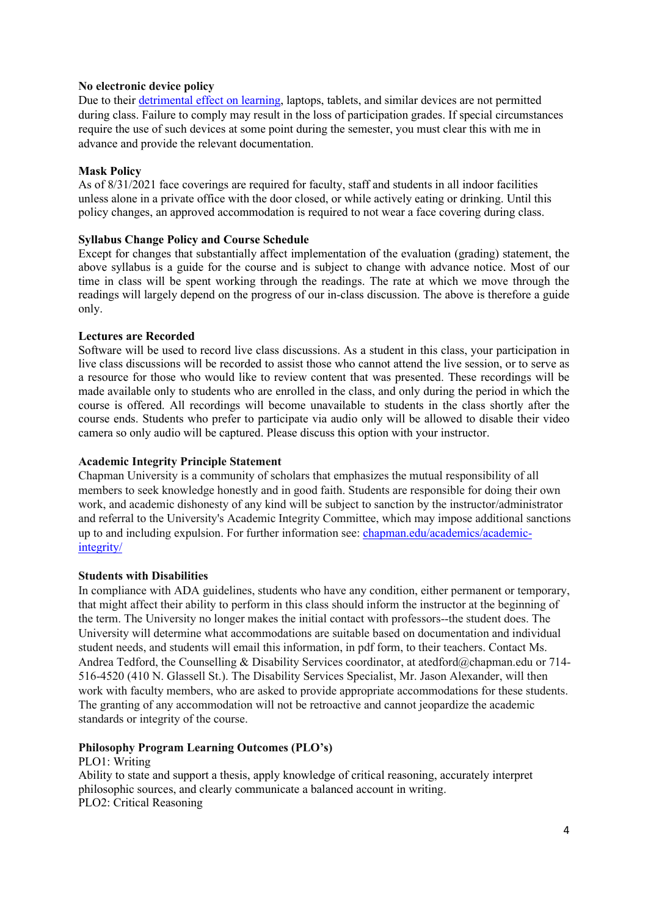### **No electronic device policy**

Due to their [detrimental effect on learning,](http://www.sciencedirect.com/science/article/pii/S0360131512002254) laptops, tablets, and similar devices are not permitted during class. Failure to comply may result in the loss of participation grades. If special circumstances require the use of such devices at some point during the semester, you must clear this with me in advance and provide the relevant documentation.

### **Mask Policy**

As of 8/31/2021 face coverings are required for faculty, staff and students in all indoor facilities unless alone in a private office with the door closed, or while actively eating or drinking. Until this policy changes, an approved accommodation is required to not wear a face covering during class.

### **Syllabus Change Policy and Course Schedule**

Except for changes that substantially affect implementation of the evaluation (grading) statement, the above syllabus is a guide for the course and is subject to change with advance notice. Most of our time in class will be spent working through the readings. The rate at which we move through the readings will largely depend on the progress of our in-class discussion. The above is therefore a guide only.

### **Lectures are Recorded**

Software will be used to record live class discussions. As a student in this class, your participation in live class discussions will be recorded to assist those who cannot attend the live session, or to serve as a resource for those who would like to review content that was presented. These recordings will be made available only to students who are enrolled in the class, and only during the period in which the course is offered. All recordings will become unavailable to students in the class shortly after the course ends. Students who prefer to participate via audio only will be allowed to disable their video camera so only audio will be captured. Please discuss this option with your instructor.

### **Academic Integrity Principle Statement**

Chapman University is a community of scholars that emphasizes the mutual responsibility of all members to seek knowledge honestly and in good faith. Students are responsible for doing their own work, and academic dishonesty of any kind will be subject to sanction by the instructor/administrator and referral to the University's Academic Integrity Committee, which may impose additional sanctions up to and including expulsion. For further information see: [chapman.edu/academics/academic](http://www.chapman.edu/academics/academic-integrity/)[integrity/](http://www.chapman.edu/academics/academic-integrity/)

### **Students with Disabilities**

In compliance with ADA guidelines, students who have any condition, either permanent or temporary, that might affect their ability to perform in this class should inform the instructor at the beginning of the term. The University no longer makes the initial contact with professors--the student does. The University will determine what accommodations are suitable based on documentation and individual student needs, and students will email this information, in pdf form, to their teachers. Contact Ms. Andrea Tedford, the Counselling & Disability Services coordinator, at atedford@chapman.edu or 714- 516-4520 (410 N. Glassell St.). The Disability Services Specialist, Mr. Jason Alexander, will then work with faculty members, who are asked to provide appropriate accommodations for these students. The granting of any accommodation will not be retroactive and cannot jeopardize the academic standards or integrity of the course.

### **Philosophy Program Learning Outcomes (PLO's)**

PLO1: Writing

Ability to state and support a thesis, apply knowledge of critical reasoning, accurately interpret philosophic sources, and clearly communicate a balanced account in writing. PLO2: Critical Reasoning